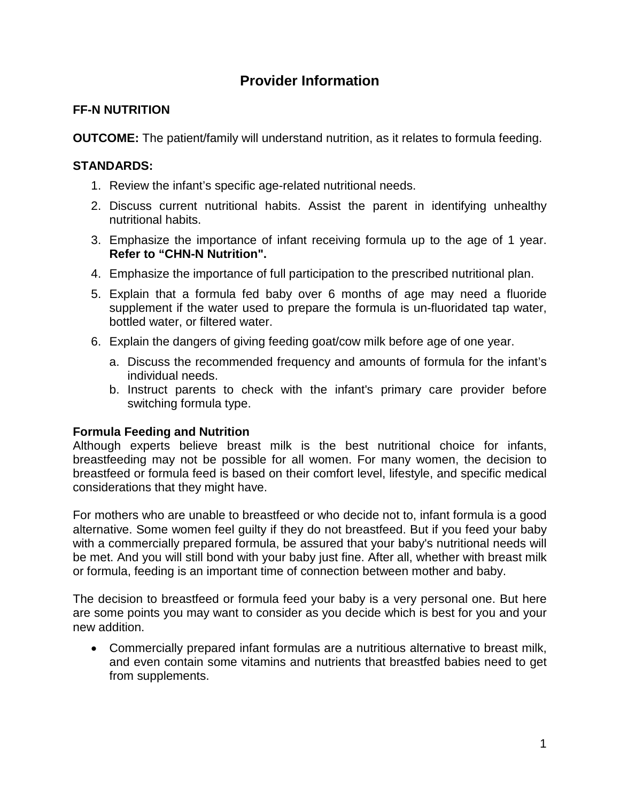# **Provider Information**

## **FF-N NUTRITION**

**OUTCOME:** The patient/family will understand nutrition, as it relates to formula feeding.

### **STANDARDS:**

- 1. Review the infant's specific age-related nutritional needs.
- 2. Discuss current nutritional habits. Assist the parent in identifying unhealthy nutritional habits.
- 3. Emphasize the importance of infant receiving formula up to the age of 1 year. **Refer to "CHN-N Nutrition".**
- 4. Emphasize the importance of full participation to the prescribed nutritional plan.
- 5. Explain that a formula fed baby over 6 months of age may need a fluoride supplement if the water used to prepare the formula is un-fluoridated tap water, bottled water, or filtered water.
- 6. Explain the dangers of giving feeding goat/cow milk before age of one year.
	- a. Discuss the recommended frequency and amounts of formula for the infant's individual needs.
	- b. Instruct parents to check with the infant's primary care provider before switching formula type.

#### **Formula Feeding and Nutrition**

Although experts believe breast milk is the best nutritional choice for infants, breastfeeding may not be possible for all women. For many women, the decision to breastfeed or formula feed is based on their comfort level, lifestyle, and specific medical considerations that they might have.

For mothers who are unable to breastfeed or who decide not to, infant formula is a good alternative. Some women feel guilty if they do not breastfeed. But if you feed your baby with a commercially prepared formula, be assured that your baby's nutritional needs will be met. And you will still bond with your baby just fine. After all, whether with breast milk or formula, feeding is an important time of connection between mother and baby.

The decision to breastfeed or formula feed your baby is a very personal one. But here are some points you may want to consider as you decide which is best for you and your new addition.

• Commercially prepared infant formulas are a nutritious alternative to breast milk, and even contain some vitamins and nutrients that breastfed babies need to get from supplements.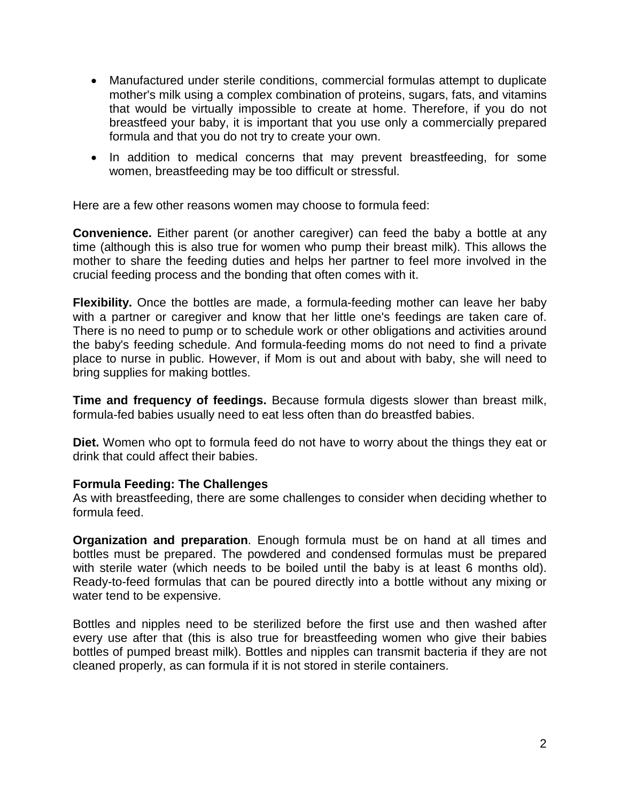- Manufactured under sterile conditions, commercial formulas attempt to duplicate mother's milk using a complex combination of proteins, sugars, fats, and vitamins that would be virtually impossible to create at home. Therefore, if you do not breastfeed your baby, it is important that you use only a commercially prepared formula and that you do not try to create your own.
- In addition to medical concerns that may prevent breastfeeding, for some women, breastfeeding may be too difficult or stressful.

Here are a few other reasons women may choose to formula feed:

**Convenience.** Either parent (or another caregiver) can feed the baby a bottle at any time (although this is also true for women who pump their breast milk). This allows the mother to share the feeding duties and helps her partner to feel more involved in the crucial feeding process and the bonding that often comes with it.

**Flexibility.** Once the bottles are made, a formula-feeding mother can leave her baby with a partner or caregiver and know that her little one's feedings are taken care of. There is no need to pump or to schedule work or other obligations and activities around the baby's feeding schedule. And formula-feeding moms do not need to find a private place to nurse in public. However, if Mom is out and about with baby, she will need to bring supplies for making bottles.

**Time and frequency of feedings.** Because formula digests slower than breast milk, formula-fed babies usually need to eat less often than do breastfed babies.

**Diet.** Women who opt to formula feed do not have to worry about the things they eat or drink that could affect their babies.

#### **Formula Feeding: The Challenges**

As with breastfeeding, there are some challenges to consider when deciding whether to formula feed.

**Organization and preparation**. Enough formula must be on hand at all times and bottles must be prepared. The powdered and condensed formulas must be prepared with sterile water (which needs to be boiled until the baby is at least 6 months old). Ready-to-feed formulas that can be poured directly into a bottle without any mixing or water tend to be expensive.

Bottles and nipples need to be sterilized before the first use and then washed after every use after that (this is also true for breastfeeding women who give their babies bottles of pumped breast milk). Bottles and nipples can transmit bacteria if they are not cleaned properly, as can formula if it is not stored in sterile containers.